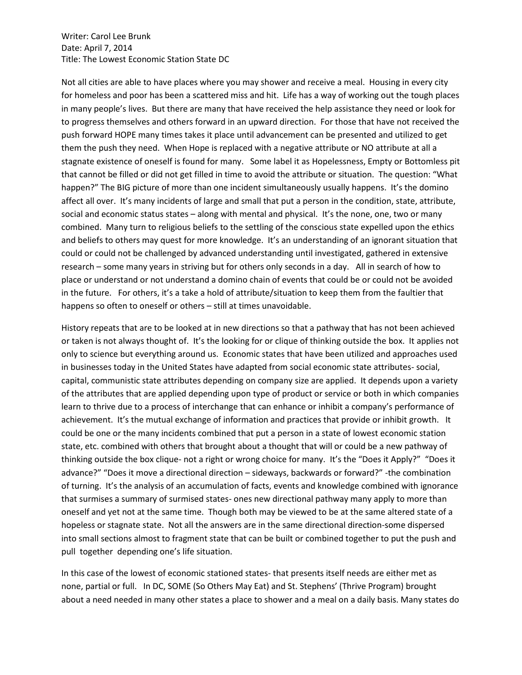Writer: Carol Lee Brunk Date: April 7, 2014 Title: The Lowest Economic Station State DC

Not all cities are able to have places where you may shower and receive a meal. Housing in every city for homeless and poor has been a scattered miss and hit. Life has a way of working out the tough places in many people's lives. But there are many that have received the help assistance they need or look for to progress themselves and others forward in an upward direction. For those that have not received the push forward HOPE many times takes it place until advancement can be presented and utilized to get them the push they need. When Hope is replaced with a negative attribute or NO attribute at all a stagnate existence of oneself is found for many. Some label it as Hopelessness, Empty or Bottomless pit that cannot be filled or did not get filled in time to avoid the attribute or situation. The question: "What happen?" The BIG picture of more than one incident simultaneously usually happens. It's the domino affect all over. It's many incidents of large and small that put a person in the condition, state, attribute, social and economic status states – along with mental and physical. It's the none, one, two or many combined. Many turn to religious beliefs to the settling of the conscious state expelled upon the ethics and beliefs to others may quest for more knowledge. It's an understanding of an ignorant situation that could or could not be challenged by advanced understanding until investigated, gathered in extensive research – some many years in striving but for others only seconds in a day. All in search of how to place or understand or not understand a domino chain of events that could be or could not be avoided in the future. For others, it's a take a hold of attribute/situation to keep them from the faultier that happens so often to oneself or others – still at times unavoidable.

History repeats that are to be looked at in new directions so that a pathway that has not been achieved or taken is not always thought of. It's the looking for or clique of thinking outside the box. It applies not only to science but everything around us. Economic states that have been utilized and approaches used in businesses today in the United States have adapted from social economic state attributes- social, capital, communistic state attributes depending on company size are applied. It depends upon a variety of the attributes that are applied depending upon type of product or service or both in which companies learn to thrive due to a process of interchange that can enhance or inhibit a company's performance of achievement. It's the mutual exchange of information and practices that provide or inhibit growth. It could be one or the many incidents combined that put a person in a state of lowest economic station state, etc. combined with others that brought about a thought that will or could be a new pathway of thinking outside the box clique- not a right or wrong choice for many. It's the "Does it Apply?" "Does it advance?" "Does it move a directional direction – sideways, backwards or forward?" -the combination of turning. It's the analysis of an accumulation of facts, events and knowledge combined with ignorance that surmises a summary of surmised states- ones new directional pathway many apply to more than oneself and yet not at the same time. Though both may be viewed to be at the same altered state of a hopeless or stagnate state. Not all the answers are in the same directional direction-some dispersed into small sections almost to fragment state that can be built or combined together to put the push and pull together depending one's life situation.

In this case of the lowest of economic stationed states- that presents itself needs are either met as none, partial or full. In DC, SOME (So Others May Eat) and St. Stephens' (Thrive Program) brought about a need needed in many other states a place to shower and a meal on a daily basis. Many states do